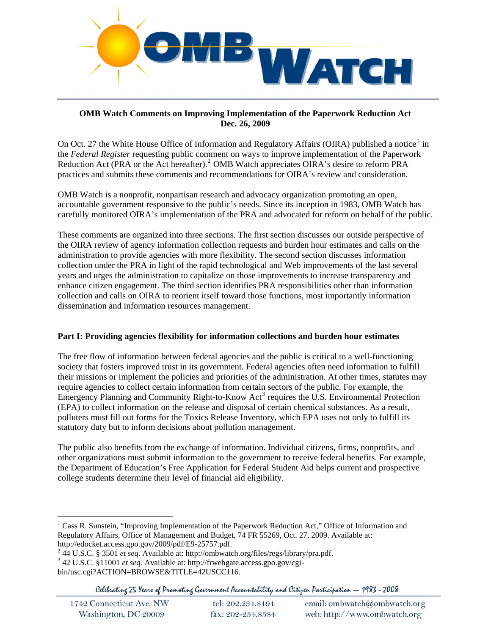

### **OMB Watch Comments on Improving Implementation of the Paperwork Reduction Act Dec. 26, 2009**

On Oct. 27 the White House Office of Information and Regulatory Affairs (OIRA) published a notice<sup>[1](#page-0-0)</sup> in the *Federal Register* requesting public comment on ways to improve implementation of the Paperwork Reduction Act (PRA or the Act hereafter).<sup>[2](#page-0-1)</sup> OMB Watch appreciates OIRA's desire to reform PRA practices and submits these comments and recommendations for OIRA's review and consideration.

OMB Watch is a nonprofit, nonpartisan research and advocacy organization promoting an open, accountable government responsive to the public's needs. Since its inception in 1983, OMB Watch has carefully monitored OIRA's implementation of the PRA and advocated for reform on behalf of the public.

These comments are organized into three sections. The first section discusses our outside perspective of the OIRA review of agency information collection requests and burden hour estimates and calls on the administration to provide agencies with more flexibility. The second section discusses information collection under the PRA in light of the rapid technological and Web improvements of the last several years and urges the administration to capitalize on those improvements to increase transparency and enhance citizen engagement. The third section identifies PRA responsibilities other than information collection and calls on OIRA to reorient itself toward those functions, most importantly information dissemination and information resources management.

# **Part I: Providing agencies flexibility for information collections and burden hour estimates**

The free flow of information between federal agencies and the public is critical to a well-functioning society that fosters improved trust in its government. Federal agencies often need information to fulfill their missions or implement the policies and priorities of the administration. At other times, statutes may require agencies to collect certain information from certain sectors of the public. For example, the Emergency Planning and Community Right-to-Know  $Act^3$  $Act^3$  requires the U.S. Environmental Protection (EPA) to collect information on the release and disposal of certain chemical substances. As a result, polluters must fill out forms for the Toxics Release Inventory, which EPA uses not only to fulfill its statutory duty but to inform decisions about pollution management.

The public also benefits from the exchange of information. Individual citizens, firms, nonprofits, and other organizations must submit information to the government to receive federal benefits. For example, the Department of Education's Free Application for Federal Student Aid helps current and prospective college students determine their level of financial aid eligibility.

<span id="page-0-0"></span><sup>&</sup>lt;sup>1</sup> Cass R. Sunstein, "Improving Implementation of the Paperwork Reduction Act," Office of Information and Regulatory Affairs, Office of Management and Budget, 74 FR 55269, Oct. 27, 2009. Available at: http://edocket.access.gpo.gov/2009/pdf/E9-25757.pdf. 2

<span id="page-0-1"></span> <sup>44</sup> U.S.C. § 3501 *et seq.* Available at: http://ombwatch.org/files/regs/library/pra.pdf.

<span id="page-0-2"></span><sup>3</sup> 42 U.S.C. §11001 *et seq.* Available at: http://frwebgate.access.gpo.gov/cgibin/usc.cgi?ACTION=BROWSE&TITLE=42USCC116.

Celebrating 25 Years of Promoting Government Accountability and Citizen Participation - 1983 - 2008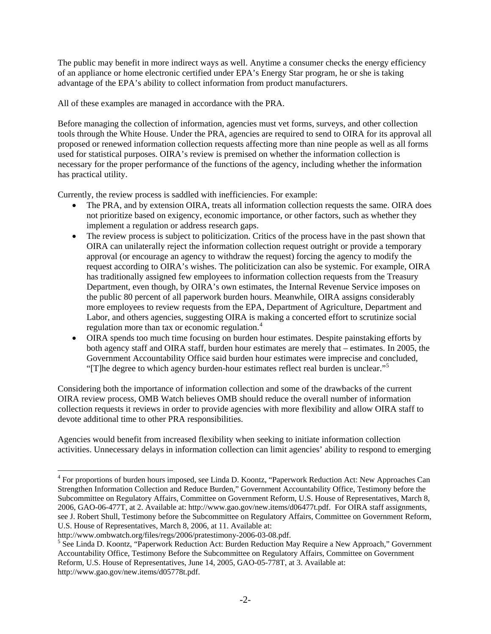The public may benefit in more indirect ways as well. Anytime a consumer checks the energy efficiency of an appliance or home electronic certified under EPA's Energy Star program, he or she is taking advantage of the EPA's ability to collect information from product manufacturers.

All of these examples are managed in accordance with the PRA.

Before managing the collection of information, agencies must vet forms, surveys, and other collection tools through the White House. Under the PRA, agencies are required to send to OIRA for its approval all proposed or renewed information collection requests affecting more than nine people as well as all forms used for statistical purposes. OIRA's review is premised on whether the information collection is necessary for the proper performance of the functions of the agency, including whether the information has practical utility.

Currently, the review process is saddled with inefficiencies. For example:

- The PRA, and by extension OIRA, treats all information collection requests the same. OIRA does not prioritize based on exigency, economic importance, or other factors, such as whether they implement a regulation or address research gaps.
- The review process is subject to politicization. Critics of the process have in the past shown that OIRA can unilaterally reject the information collection request outright or provide a temporary approval (or encourage an agency to withdraw the request) forcing the agency to modify the request according to OIRA's wishes. The politicization can also be systemic. For example, OIRA has traditionally assigned few employees to information collection requests from the Treasury Department, even though, by OIRA's own estimates, the Internal Revenue Service imposes on the public 80 percent of all paperwork burden hours. Meanwhile, OIRA assigns considerably more employees to review requests from the EPA, Department of Agriculture, Department and Labor, and others agencies, suggesting OIRA is making a concerted effort to scrutinize social regulation more than tax or economic regulation.<sup>[4](#page-1-0)</sup>
- OIRA spends too much time focusing on burden hour estimates. Despite painstaking efforts by both agency staff and OIRA staff, burden hour estimates are merely that – estimates. In 2005, the Government Accountability Office said burden hour estimates were imprecise and concluded, "[T]he degree to which agency burden-hour estimates reflect real burden is unclear."<sup>[5](#page-1-1)</sup>

Considering both the importance of information collection and some of the drawbacks of the current OIRA review process, OMB Watch believes OMB should reduce the overall number of information collection requests it reviews in order to provide agencies with more flexibility and allow OIRA staff to devote additional time to other PRA responsibilities.

Agencies would benefit from increased flexibility when seeking to initiate information collection activities. Unnecessary delays in information collection can limit agencies' ability to respond to emerging

<span id="page-1-0"></span><sup>&</sup>lt;sup>4</sup> For proportions of burden hours imposed, see Linda D. Koontz, "Paperwork Reduction Act: New Approaches Can Strengthen Information Collection and Reduce Burden," Government Accountability Office, Testimony before the Subcommittee on Regulatory Affairs, Committee on Government Reform, U.S. House of Representatives, March 8, 2006, GAO-06-477T, at 2. Available at: http://www.gao.gov/new.items/d06477t.pdf. For OIRA staff assignments, see J. Robert Shull, Testimony before the Subcommittee on Regulatory Affairs, Committee on Government Reform, U.S. House of Representatives, March 8, 2006, at 11. Available at:

http://www.ombwatch.org/files/regs/2006/pratestimony-2006-03-08.pdf.

<span id="page-1-1"></span><sup>&</sup>lt;sup>5</sup> See Linda D. Koontz, "Paperwork Reduction Act: Burden Reduction May Require a New Approach," Government Accountability Office, Testimony Before the Subcommittee on Regulatory Affairs, Committee on Government Reform, U.S. House of Representatives, June 14, 2005, GAO-05-778T, at 3. Available at: http://www.gao.gov/new.items/d05778t.pdf.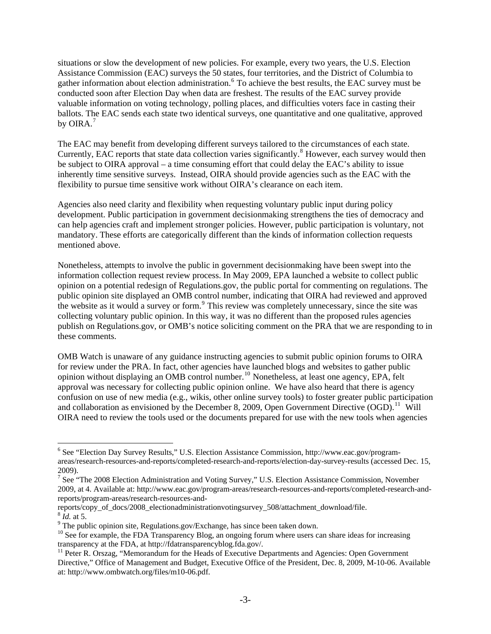situations or slow the development of new policies. For example, every two years, the U.S. Election Assistance Commission (EAC) surveys the 50 states, four territories, and the District of Columbia to gather information about election administration. <sup>[6](#page-2-0)</sup> To achieve the best results, the EAC survey must be conducted soon after Election Day when data are freshest. The results of the EAC survey provide valuable information on voting technology, polling places, and difficulties voters face in casting their ballots. The EAC sends each state two identical surveys, one quantitative and one qualitative, approved by OIRA. $<sup>7</sup>$  $<sup>7</sup>$  $<sup>7</sup>$ </sup>

The EAC may benefit from developing different surveys tailored to the circumstances of each state. Currently, EAC reports that state data collection varies significantly.<sup>[8](#page-2-2)</sup> However, each survey would then be subject to OIRA approval – a time consuming effort that could delay the EAC's ability to issue inherently time sensitive surveys. Instead, OIRA should provide agencies such as the EAC with the flexibility to pursue time sensitive work without OIRA's clearance on each item.

Agencies also need clarity and flexibility when requesting voluntary public input during policy development. Public participation in government decisionmaking strengthens the ties of democracy and can help agencies craft and implement stronger policies. However, public participation is voluntary, not mandatory. These efforts are categorically different than the kinds of information collection requests mentioned above.

Nonetheless, attempts to involve the public in government decisionmaking have been swept into the information collection request review process. In May 2009, EPA launched a website to collect public opinion on a potential redesign of Regulations.gov, the public portal for commenting on regulations. The public opinion site displayed an OMB control number, indicating that OIRA had reviewed and approved the website as it would a survey or form.<sup>[9](#page-2-3)</sup> This review was completely unnecessary, since the site was collecting voluntary public opinion. In this way, it was no different than the proposed rules agencies publish on Regulations.gov, or OMB's notice soliciting comment on the PRA that we are responding to in these comments.

OMB Watch is unaware of any guidance instructing agencies to submit public opinion forums to OIRA for review under the PRA. In fact, other agencies have launched blogs and websites to gather public opinion without displaying an OMB control number.[10](#page-2-4) Nonetheless, at least one agency, EPA, felt approval was necessary for collecting public opinion online. We have also heard that there is agency confusion on use of new media (e.g., wikis, other online survey tools) to foster greater public participation and collaboration as envisioned by the December 8, 2009, Open Government Directive  $(OGD)$ .<sup>[11](#page-2-5)</sup> Will OIRA need to review the tools used or the documents prepared for use with the new tools when agencies

<span id="page-2-0"></span><sup>&</sup>lt;sup>6</sup> See "Election Day Survey Results," U.S. Election Assistance Commission, http://www.eac.gov/programareas/research-resources-and-reports/completed-research-and-reports/election-day-survey-results (accessed Dec. 15, 2009).

<span id="page-2-1"></span><sup>&</sup>lt;sup>7</sup> See "The 2008 Election Administration and Voting Survey," U.S. Election Assistance Commission, November 2009, at 4. Available at: http://www.eac.gov/program-areas/research-resources-and-reports/completed-research-andreports/program-areas/research-resources-and-

reports/copy\_of\_docs/2008\_electionadministrationvotingsurvey\_508/attachment\_download/file. <sup>8</sup> *Id.* at 5.

<span id="page-2-3"></span><span id="page-2-2"></span><sup>&</sup>lt;sup>9</sup> The public opinion site, Regulations.gov/Exchange, has since been taken down.

<span id="page-2-4"></span><sup>&</sup>lt;sup>10</sup> See for example, the FDA Transparency Blog, an ongoing forum where users can share ideas for increasing transparency at the FDA, at http://fdatransparencyblog.fda.gov/.

<span id="page-2-5"></span><sup>&</sup>lt;sup>11</sup> Peter R. Orszag, "Memorandum for the Heads of Executive Departments and Agencies: Open Government Directive," Office of Management and Budget, Executive Office of the President, Dec. 8, 2009, M-10-06. Available at: http://www.ombwatch.org/files/m10-06.pdf.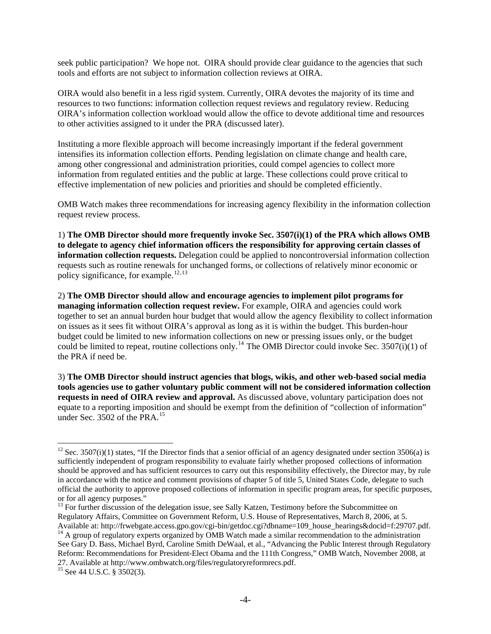seek public participation? We hope not. OIRA should provide clear guidance to the agencies that such tools and efforts are not subject to information collection reviews at OIRA.

OIRA would also benefit in a less rigid system. Currently, OIRA devotes the majority of its time and resources to two functions: information collection request reviews and regulatory review. Reducing OIRA's information collection workload would allow the office to devote additional time and resources to other activities assigned to it under the PRA (discussed later).

Instituting a more flexible approach will become increasingly important if the federal government intensifies its information collection efforts. Pending legislation on climate change and health care, among other congressional and administration priorities, could compel agencies to collect more information from regulated entities and the public at large. These collections could prove critical to effective implementation of new policies and priorities and should be completed efficiently.

OMB Watch makes three recommendations for increasing agency flexibility in the information collection request review process.

1) **The OMB Director should more frequently invoke Sec. 3507(i)(1) of the PRA which allows OMB to delegate to agency chief information officers the responsibility for approving certain classes of information collection requests.** Delegation could be applied to noncontroversial information collection requests such as routine renewals for unchanged forms, or collections of relatively minor economic or policy significance, for example.<sup>[12](#page-3-0),[13](#page-3-1)</sup>

2) **The OMB Director should allow and encourage agencies to implement pilot programs for managing information collection request review.** For example, OIRA and agencies could work together to set an annual burden hour budget that would allow the agency flexibility to collect information on issues as it sees fit without OIRA's approval as long as it is within the budget. This burden-hour budget could be limited to new information collections on new or pressing issues only, or the budget could be limited to repeat, routine collections only.<sup>[14](#page-3-2)</sup> The OMB Director could invoke Sec. 3507(i)(1) of the PRA if need be.

3) **The OMB Director should instruct agencies that blogs, wikis, and other web-based social media tools agencies use to gather voluntary public comment will not be considered information collection requests in need of OIRA review and approval.** As discussed above, voluntary participation does not equate to a reporting imposition and should be exempt from the definition of "collection of information" under Sec. 3502 of the PRA.<sup>[15](#page-3-3)</sup>

<span id="page-3-0"></span><sup>&</sup>lt;sup>12</sup> Sec. 3507(i)(1) states, "If the Director finds that a senior official of an agency designated under section 3506(a) is sufficiently independent of program responsibility to evaluate fairly whether proposed collections of information should be approved and has sufficient resources to carry out this responsibility effectively, the Director may, by rule in accordance with the notice and comment provisions of chapter 5 of title 5, United States Code, delegate to such official the authority to approve proposed collections of information in specific program areas, for specific purposes, or for all agency purposes."

<span id="page-3-1"></span><sup>&</sup>lt;sup>13</sup> For further discussion of the delegation issue, see Sally Katzen, Testimony before the Subcommittee on Regulatory Affairs, Committee on Government Reform, U.S. House of Representatives, March 8, 2006, at 5.<br>Available at: http://frwebgate.access.gpo.gov/cgi-bin/getdoc.cgi?dbname=109 house hearings&docid=f:29707.pdf.

<span id="page-3-2"></span> $14$  A group of regulatory experts organized by OMB Watch made a similar recommendation to the administration See Gary D. Bass, Michael Byrd, Caroline Smith DeWaal, et al., "Advancing the Public Interest through Regulatory Reform: Recommendations for President-Elect Obama and the 111th Congress," OMB Watch, November 2008, at 27. Available at http://www.ombwatch.org/files/regulatoryreformrecs.pdf. 15 See 44 U.S.C. § 3502(3).

<span id="page-3-3"></span>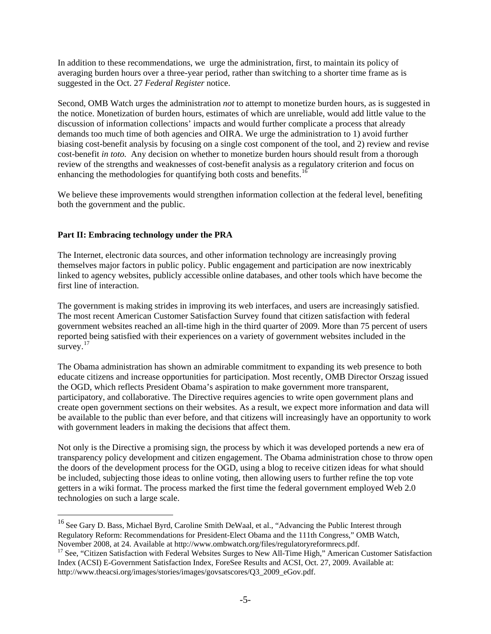In addition to these recommendations, we urge the administration, first, to maintain its policy of averaging burden hours over a three-year period, rather than switching to a shorter time frame as is suggested in the Oct. 27 *Federal Register* notice.

Second, OMB Watch urges the administration *not* to attempt to monetize burden hours, as is suggested in the notice. Monetization of burden hours, estimates of which are unreliable, would add little value to the discussion of information collections' impacts and would further complicate a process that already demands too much time of both agencies and OIRA. We urge the administration to 1) avoid further biasing cost-benefit analysis by focusing on a single cost component of the tool, and 2) review and revise cost-benefit *in toto.* Any decision on whether to monetize burden hours should result from a thorough review of the strengths and weaknesses of cost-benefit analysis as a regulatory criterion and focus on enhancing the methodologies for quantifying both costs and benefits.<sup>[16](#page-4-0)</sup>

We believe these improvements would strengthen information collection at the federal level, benefiting both the government and the public.

### **Part II: Embracing technology under the PRA**

 $\overline{a}$ 

The Internet, electronic data sources, and other information technology are increasingly proving themselves major factors in public policy. Public engagement and participation are now inextricably linked to agency websites, publicly accessible online databases, and other tools which have become the first line of interaction.

The government is making strides in improving its web interfaces, and users are increasingly satisfied. The most recent American Customer Satisfaction Survey found that citizen satisfaction with federal government websites reached an all-time high in the third quarter of 2009. More than 75 percent of users reported being satisfied with their experiences on a variety of government websites included in the survey. $17$ 

The Obama administration has shown an admirable commitment to expanding its web presence to both educate citizens and increase opportunities for participation. Most recently, OMB Director Orszag issued the OGD, which reflects President Obama's aspiration to make government more transparent, participatory, and collaborative. The Directive requires agencies to write open government plans and create open government sections on their websites. As a result, we expect more information and data will be available to the public than ever before, and that citizens will increasingly have an opportunity to work with government leaders in making the decisions that affect them.

Not only is the Directive a promising sign, the process by which it was developed portends a new era of transparency policy development and citizen engagement. The Obama administration chose to throw open the doors of the development process for the OGD, using a blog to receive citizen ideas for what should be included, subjecting those ideas to online voting, then allowing users to further refine the top vote getters in a wiki format. The process marked the first time the federal government employed Web 2.0 technologies on such a large scale.

<span id="page-4-0"></span><sup>&</sup>lt;sup>16</sup> See Gary D. Bass, Michael Byrd, Caroline Smith DeWaal, et al., "Advancing the Public Interest through Regulatory Reform: Recommendations for President-Elect Obama and the 111th Congress," OMB Watch,

<span id="page-4-1"></span>November 2008, at 24. Available at http://www.ombwatch.org/files/regulatoryreformrecs.pdf. 17 See, "Citizen Satisfaction with Federal Websites Surges to New All-Time High," American Customer Satisfaction Index (ACSI) E-Government Satisfaction Index, ForeSee Results and ACSI, Oct. 27, 2009. Available at: http://www.theacsi.org/images/stories/images/govsatscores/Q3\_2009\_eGov.pdf.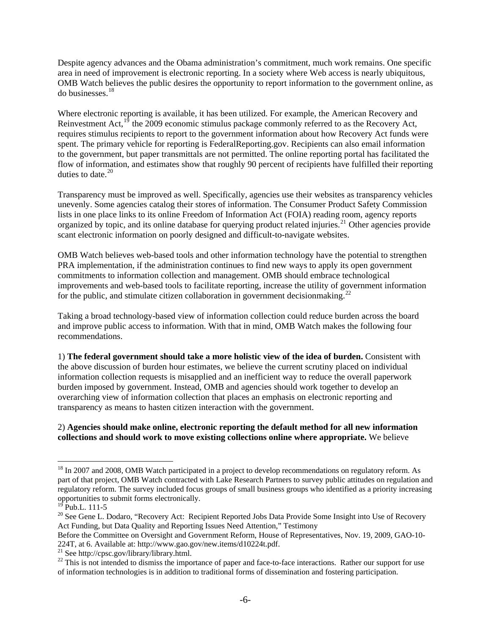Despite agency advances and the Obama administration's commitment, much work remains. One specific area in need of improvement is electronic reporting. In a society where Web access is nearly ubiquitous, OMB Watch believes the public desires the opportunity to report information to the government online, as do businesses.[18](#page-5-0)

Where electronic reporting is available, it has been utilized. For example, the American Recovery and Reinvestment Act,  $^{19}$  $^{19}$  $^{19}$  the 2009 economic stimulus package commonly referred to as the Recovery Act, requires stimulus recipients to report to the government information about how Recovery Act funds were spent. The primary vehicle for reporting is FederalReporting.gov. Recipients can also email information to the government, but paper transmittals are not permitted. The online reporting portal has facilitated the flow of information, and estimates show that roughly 90 percent of recipients have fulfilled their reporting duties to date. $20$ 

Transparency must be improved as well. Specifically, agencies use their websites as transparency vehicles unevenly. Some agencies catalog their stores of information. The Consumer Product Safety Commission lists in one place links to its online Freedom of Information Act (FOIA) reading room, agency reports organized by topic, and its online database for querying product related injuries.<sup>[21](#page-5-3)</sup> Other agencies provide scant electronic information on poorly designed and difficult-to-navigate websites.

OMB Watch believes web-based tools and other information technology have the potential to strengthen PRA implementation, if the administration continues to find new ways to apply its open government commitments to information collection and management. OMB should embrace technological improvements and web-based tools to facilitate reporting, increase the utility of government information for the public, and stimulate citizen collaboration in government decisionmaking.<sup>[22](#page-5-4)</sup>

Taking a broad technology-based view of information collection could reduce burden across the board and improve public access to information. With that in mind, OMB Watch makes the following four recommendations.

1) **The federal government should take a more holistic view of the idea of burden.** Consistent with the above discussion of burden hour estimates, we believe the current scrutiny placed on individual information collection requests is misapplied and an inefficient way to reduce the overall paperwork burden imposed by government. Instead, OMB and agencies should work together to develop an overarching view of information collection that places an emphasis on electronic reporting and transparency as means to hasten citizen interaction with the government.

### 2) **Agencies should make online, electronic reporting the default method for all new information collections and should work to move existing collections online where appropriate.** We believe

<span id="page-5-0"></span><sup>&</sup>lt;sup>18</sup> In 2007 and 2008, OMB Watch participated in a project to develop recommendations on regulatory reform. As part of that project, OMB Watch contracted with Lake Research Partners to survey public attitudes on regulation and regulatory reform. The survey included focus groups of small business groups who identified as a priority increasing opportunities to submit forms electronically.

 $19$  Pub.L. 111-5

<span id="page-5-2"></span><span id="page-5-1"></span><sup>&</sup>lt;sup>20</sup> See Gene L. Dodaro, "Recovery Act: Recipient Reported Jobs Data Provide Some Insight into Use of Recovery Act Funding, but Data Quality and Reporting Issues Need Attention," Testimony

Before the Committee on Oversight and Government Reform, House of Representatives, Nov. 19, 2009, GAO-10- 224T, at 6. Available at: http://www.gao.gov/new.items/d10224t.pdf.

<sup>21</sup> See http://cpsc.gov/library/library.html.

<span id="page-5-4"></span><span id="page-5-3"></span><sup>&</sup>lt;sup>22</sup> This is not intended to dismiss the importance of paper and face-to-face interactions. Rather our support for use of information technologies is in addition to traditional forms of dissemination and fostering participation.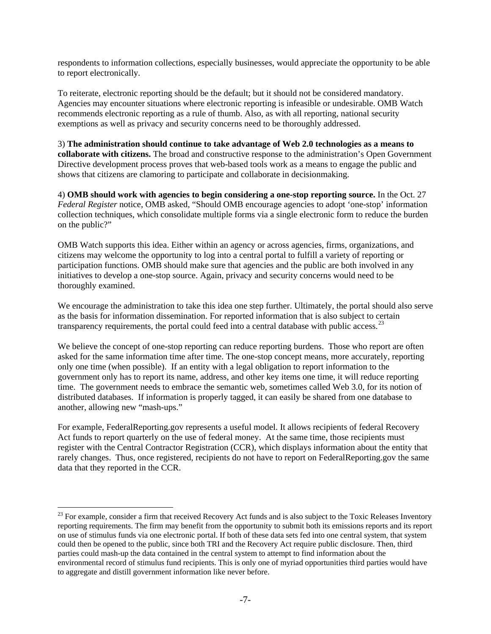respondents to information collections, especially businesses, would appreciate the opportunity to be able to report electronically.

To reiterate, electronic reporting should be the default; but it should not be considered mandatory. Agencies may encounter situations where electronic reporting is infeasible or undesirable. OMB Watch recommends electronic reporting as a rule of thumb. Also, as with all reporting, national security exemptions as well as privacy and security concerns need to be thoroughly addressed.

3) **The administration should continue to take advantage of Web 2.0 technologies as a means to collaborate with citizens.** The broad and constructive response to the administration's Open Government Directive development process proves that web-based tools work as a means to engage the public and shows that citizens are clamoring to participate and collaborate in decisionmaking.

4) **OMB should work with agencies to begin considering a one-stop reporting source.** In the Oct. 27 *Federal Register* notice, OMB asked, "Should OMB encourage agencies to adopt 'one-stop' information collection techniques, which consolidate multiple forms via a single electronic form to reduce the burden on the public?"

OMB Watch supports this idea. Either within an agency or across agencies, firms, organizations, and citizens may welcome the opportunity to log into a central portal to fulfill a variety of reporting or participation functions. OMB should make sure that agencies and the public are both involved in any initiatives to develop a one-stop source. Again, privacy and security concerns would need to be thoroughly examined.

We encourage the administration to take this idea one step further. Ultimately, the portal should also serve as the basis for information dissemination. For reported information that is also subject to certain transparency requirements, the portal could feed into a central database with public access.<sup>[23](#page-6-0)</sup>

We believe the concept of one-stop reporting can reduce reporting burdens. Those who report are often asked for the same information time after time. The one-stop concept means, more accurately, reporting only one time (when possible). If an entity with a legal obligation to report information to the government only has to report its name, address, and other key items one time, it will reduce reporting time. The government needs to embrace the semantic web, sometimes called Web 3.0, for its notion of distributed databases. If information is properly tagged, it can easily be shared from one database to another, allowing new "mash-ups."

For example, FederalReporting.gov represents a useful model. It allows recipients of federal Recovery Act funds to report quarterly on the use of federal money. At the same time, those recipients must register with the Central Contractor Registration (CCR), which displays information about the entity that rarely changes. Thus, once registered, recipients do not have to report on FederalReporting.gov the same data that they reported in the CCR.

<span id="page-6-0"></span> $^{23}$  For example, consider a firm that received Recovery Act funds and is also subject to the Toxic Releases Inventory reporting requirements. The firm may benefit from the opportunity to submit both its emissions reports and its report on use of stimulus funds via one electronic portal. If both of these data sets fed into one central system, that system could then be opened to the public, since both TRI and the Recovery Act require public disclosure. Then, third parties could mash-up the data contained in the central system to attempt to find information about the environmental record of stimulus fund recipients. This is only one of myriad opportunities third parties would have to aggregate and distill government information like never before.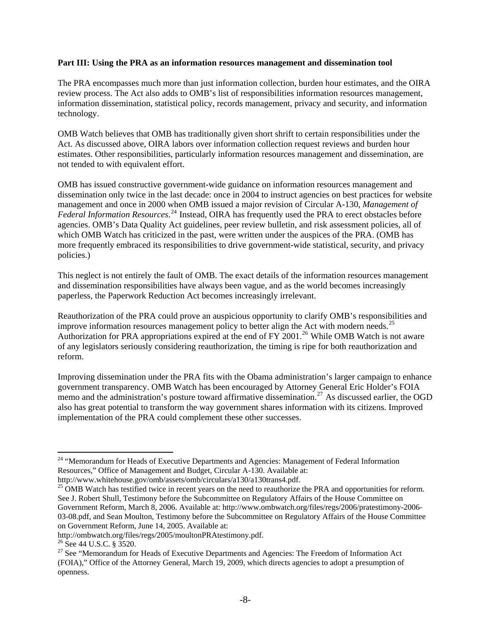#### **Part III: Using the PRA as an information resources management and dissemination tool**

The PRA encompasses much more than just information collection, burden hour estimates, and the OIRA review process. The Act also adds to OMB's list of responsibilities information resources management, information dissemination, statistical policy, records management, privacy and security, and information technology.

OMB Watch believes that OMB has traditionally given short shrift to certain responsibilities under the Act. As discussed above, OIRA labors over information collection request reviews and burden hour estimates. Other responsibilities, particularly information resources management and dissemination, are not tended to with equivalent effort.

OMB has issued constructive government-wide guidance on information resources management and dissemination only twice in the last decade: once in 2004 to instruct agencies on best practices for website management and once in 2000 when OMB issued a major revision of Circular A-130, *Management of Federal Information Resources*. [24](#page-7-0) Instead, OIRA has frequently used the PRA to erect obstacles before agencies. OMB's Data Quality Act guidelines, peer review bulletin, and risk assessment policies, all of which OMB Watch has criticized in the past, were written under the auspices of the PRA. (OMB has more frequently embraced its responsibilities to drive government-wide statistical, security, and privacy policies.)

This neglect is not entirely the fault of OMB. The exact details of the information resources management and dissemination responsibilities have always been vague, and as the world becomes increasingly paperless, the Paperwork Reduction Act becomes increasingly irrelevant.

Reauthorization of the PRA could prove an auspicious opportunity to clarify OMB's responsibilities and improve information resources management policy to better align the Act with modern needs.<sup>[25](#page-7-1)</sup> Authorization for PRA appropriations expired at the end of FY 2001.<sup>[26](#page-7-2)</sup> While OMB Watch is not aware of any legislators seriously considering reauthorization, the timing is ripe for both reauthorization and reform.

Improving dissemination under the PRA fits with the Obama administration's larger campaign to enhance government transparency. OMB Watch has been encouraged by Attorney General Eric Holder's FOIA memo and the administration's posture toward affirmative dissemination.<sup>[27](#page-7-3)</sup> As discussed earlier, the OGD also has great potential to transform the way government shares information with its citizens. Improved implementation of the PRA could complement these other successes.

<span id="page-7-0"></span><sup>&</sup>lt;sup>24</sup> "Memorandum for Heads of Executive Departments and Agencies: Management of Federal Information Resources," Office of Management and Budget, Circular A-130. Available at:

<span id="page-7-1"></span>http://www.whitehouse.gov/omb/assets/omb/circulars/a130/a130trans4.pdf.<br><sup>25</sup> OMB Watch has testified twice in recent years on the need to reauthorize the PRA and opportunities for reform. See J. Robert Shull, Testimony before the Subcommittee on Regulatory Affairs of the House Committee on Government Reform, March 8, 2006. Available at: http://www.ombwatch.org/files/regs/2006/pratestimony-2006- 03-08.pdf, and Sean Moulton, Testimony before the Subcommittee on Regulatory Affairs of the House Committee on Government Reform, June 14, 2005. Available at:

http://ombwatch.org/files/regs/2005/moultonPRAtestimony.pdf.

<span id="page-7-2"></span><sup>&</sup>lt;sup>26</sup> See 44 U.S.C. § 3520.

<span id="page-7-3"></span> $27$  See "Memorandum for Heads of Executive Departments and Agencies: The Freedom of Information Act (FOIA)," Office of the Attorney General, March 19, 2009, which directs agencies to adopt a presumption of openness.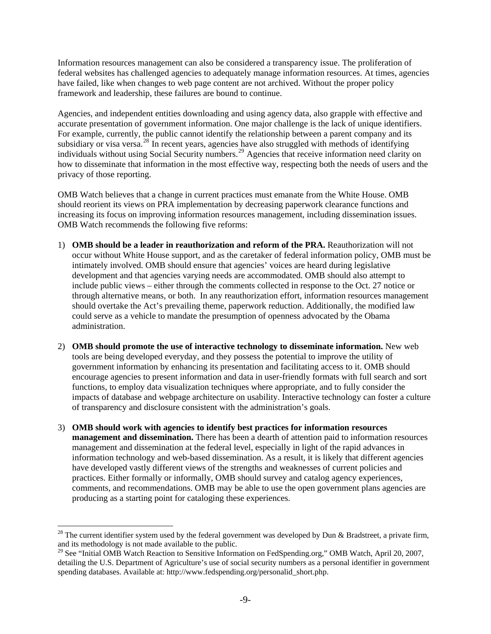Information resources management can also be considered a transparency issue. The proliferation of federal websites has challenged agencies to adequately manage information resources. At times, agencies have failed, like when changes to web page content are not archived. Without the proper policy framework and leadership, these failures are bound to continue.

Agencies, and independent entities downloading and using agency data, also grapple with effective and accurate presentation of government information. One major challenge is the lack of unique identifiers. For example, currently, the public cannot identify the relationship between a parent company and its subsidiary or visa versa.<sup>[28](#page-8-0)</sup> In recent years, agencies have also struggled with methods of identifying individuals without using Social Security numbers.<sup>[29](#page-8-1)</sup> Agencies that receive information need clarity on how to disseminate that information in the most effective way, respecting both the needs of users and the privacy of those reporting.

OMB Watch believes that a change in current practices must emanate from the White House. OMB should reorient its views on PRA implementation by decreasing paperwork clearance functions and increasing its focus on improving information resources management, including dissemination issues. OMB Watch recommends the following five reforms:

- 1) **OMB should be a leader in reauthorization and reform of the PRA.** Reauthorization will not occur without White House support, and as the caretaker of federal information policy, OMB must be intimately involved. OMB should ensure that agencies' voices are heard during legislative development and that agencies varying needs are accommodated. OMB should also attempt to include public views – either through the comments collected in response to the Oct. 27 notice or through alternative means, or both. In any reauthorization effort, information resources management should overtake the Act's prevailing theme, paperwork reduction. Additionally, the modified law could serve as a vehicle to mandate the presumption of openness advocated by the Obama administration.
- 2) **OMB should promote the use of interactive technology to disseminate information.** New web tools are being developed everyday, and they possess the potential to improve the utility of government information by enhancing its presentation and facilitating access to it. OMB should encourage agencies to present information and data in user-friendly formats with full search and sort functions, to employ data visualization techniques where appropriate, and to fully consider the impacts of database and webpage architecture on usability. Interactive technology can foster a culture of transparency and disclosure consistent with the administration's goals.
- 3) **OMB should work with agencies to identify best practices for information resources management and dissemination.** There has been a dearth of attention paid to information resources management and dissemination at the federal level, especially in light of the rapid advances in information technology and web-based dissemination. As a result, it is likely that different agencies have developed vastly different views of the strengths and weaknesses of current policies and practices. Either formally or informally, OMB should survey and catalog agency experiences, comments, and recommendations. OMB may be able to use the open government plans agencies are producing as a starting point for cataloging these experiences.

<span id="page-8-0"></span><sup>&</sup>lt;sup>28</sup> The current identifier system used by the federal government was developed by Dun & Bradstreet, a private firm, and its methodology is not made available to the public.

<span id="page-8-1"></span><sup>&</sup>lt;sup>29</sup> See "Initial OMB Watch Reaction to Sensitive Information on FedSpending.org," OMB Watch, April 20, 2007, detailing the U.S. Department of Agriculture's use of social security numbers as a personal identifier in government spending databases. Available at: http://www.fedspending.org/personalid\_short.php.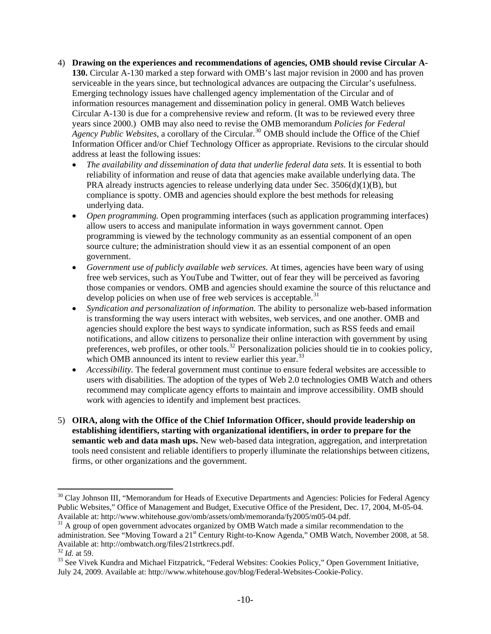- 4) **Drawing on the experiences and recommendations of agencies, OMB should revise Circular A-130.** Circular A-130 marked a step forward with OMB's last major revision in 2000 and has proven serviceable in the years since, but technological advances are outpacing the Circular's usefulness. Emerging technology issues have challenged agency implementation of the Circular and of information resources management and dissemination policy in general. OMB Watch believes Circular A-130 is due for a comprehensive review and reform. (It was to be reviewed every three years since 2000.) OMB may also need to revise the OMB memorandum *Policies for Federal*  Agency Public Websites, a corollary of the Circular.<sup>[30](#page-9-0)</sup> OMB should include the Office of the Chief Information Officer and/or Chief Technology Officer as appropriate. Revisions to the circular should address at least the following issues:
	- *The availability and dissemination of data that underlie federal data sets.* It is essential to both reliability of information and reuse of data that agencies make available underlying data. The PRA already instructs agencies to release underlying data under Sec. 3506(d)(1)(B), but compliance is spotty. OMB and agencies should explore the best methods for releasing underlying data.
	- *Open programming.* Open programming interfaces (such as application programming interfaces) allow users to access and manipulate information in ways government cannot. Open programming is viewed by the technology community as an essential component of an open source culture; the administration should view it as an essential component of an open government.
	- *Government use of publicly available web services.* At times, agencies have been wary of using free web services, such as YouTube and Twitter, out of fear they will be perceived as favoring those companies or vendors. OMB and agencies should examine the source of this reluctance and develop policies on when use of free web services is acceptable. $31$
	- *Syndication and personalization of information.* The ability to personalize web-based information is transforming the way users interact with websites, web services, and one another. OMB and agencies should explore the best ways to syndicate information, such as RSS feeds and email notifications, and allow citizens to personalize their online interaction with government by using preferences, web profiles, or other tools.<sup>[32](#page-9-2)</sup> Personalization policies should tie in to cookies policy, which OMB announced its intent to review earlier this year.<sup>[33](#page-9-3)</sup>
	- *Accessibility.* The federal government must continue to ensure federal websites are accessible to users with disabilities. The adoption of the types of Web 2.0 technologies OMB Watch and others recommend may complicate agency efforts to maintain and improve accessibility. OMB should work with agencies to identify and implement best practices.
- 5) **OIRA, along with the Office of the Chief Information Officer, should provide leadership on establishing identifiers, starting with organizational identifiers, in order to prepare for the semantic web and data mash ups.** New web-based data integration, aggregation, and interpretation tools need consistent and reliable identifiers to properly illuminate the relationships between citizens, firms, or other organizations and the government.

<span id="page-9-0"></span><sup>&</sup>lt;sup>30</sup> Clay Johnson III, "Memorandum for Heads of Executive Departments and Agencies: Policies for Federal Agency Public Websites," Office of Management and Budget, Executive Office of the President, Dec. 17, 2004, M-05-04. Available at: http://www.whitehouse.gov/omb/assets/omb/memoranda/fy2005/m05-04.pdf.

<span id="page-9-1"></span><sup>&</sup>lt;sup>31</sup> A group of open government advocates organized by OMB Watch made a similar recommendation to the administration. See "Moving Toward a 21<sup>st</sup> Century Right-to-Know Agenda," OMB Watch, November 2008, at 58. Available at: http://ombwatch.org/files/21strtkrecs.pdf. <sup>32</sup> *Id.* at 59.

<span id="page-9-2"></span>

<span id="page-9-3"></span><sup>&</sup>lt;sup>33</sup> See Vivek Kundra and Michael Fitzpatrick, "Federal Websites: Cookies Policy," Open Government Initiative, July 24, 2009. Available at: http://www.whitehouse.gov/blog/Federal-Websites-Cookie-Policy.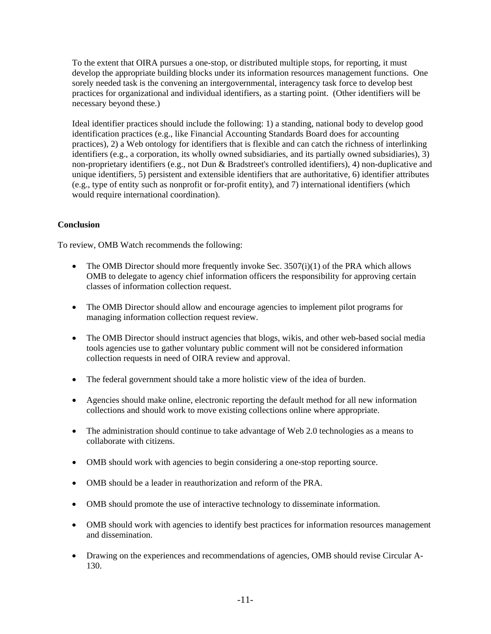To the extent that OIRA pursues a one-stop, or distributed multiple stops, for reporting, it must develop the appropriate building blocks under its information resources management functions. One sorely needed task is the convening an intergovernmental, interagency task force to develop best practices for organizational and individual identifiers, as a starting point. (Other identifiers will be necessary beyond these.)

Ideal identifier practices should include the following: 1) a standing, national body to develop good identification practices (e.g., like Financial Accounting Standards Board does for accounting practices), 2) a Web ontology for identifiers that is flexible and can catch the richness of interlinking identifiers (e.g., a corporation, its wholly owned subsidiaries, and its partially owned subsidiaries), 3) non-proprietary identifiers (e.g., not Dun & Bradstreet's controlled identifiers), 4) non-duplicative and unique identifiers, 5) persistent and extensible identifiers that are authoritative, 6) identifier attributes (e.g., type of entity such as nonprofit or for-profit entity), and 7) international identifiers (which would require international coordination).

# **Conclusion**

To review, OMB Watch recommends the following:

- The OMB Director should more frequently invoke Sec.  $3507(i)(1)$  of the PRA which allows OMB to delegate to agency chief information officers the responsibility for approving certain classes of information collection request.
- The OMB Director should allow and encourage agencies to implement pilot programs for managing information collection request review.
- The OMB Director should instruct agencies that blogs, wikis, and other web-based social media tools agencies use to gather voluntary public comment will not be considered information collection requests in need of OIRA review and approval.
- The federal government should take a more holistic view of the idea of burden.
- Agencies should make online, electronic reporting the default method for all new information collections and should work to move existing collections online where appropriate.
- The administration should continue to take advantage of Web 2.0 technologies as a means to collaborate with citizens.
- OMB should work with agencies to begin considering a one-stop reporting source.
- OMB should be a leader in reauthorization and reform of the PRA.
- OMB should promote the use of interactive technology to disseminate information.
- OMB should work with agencies to identify best practices for information resources management and dissemination.
- Drawing on the experiences and recommendations of agencies, OMB should revise Circular A-130.